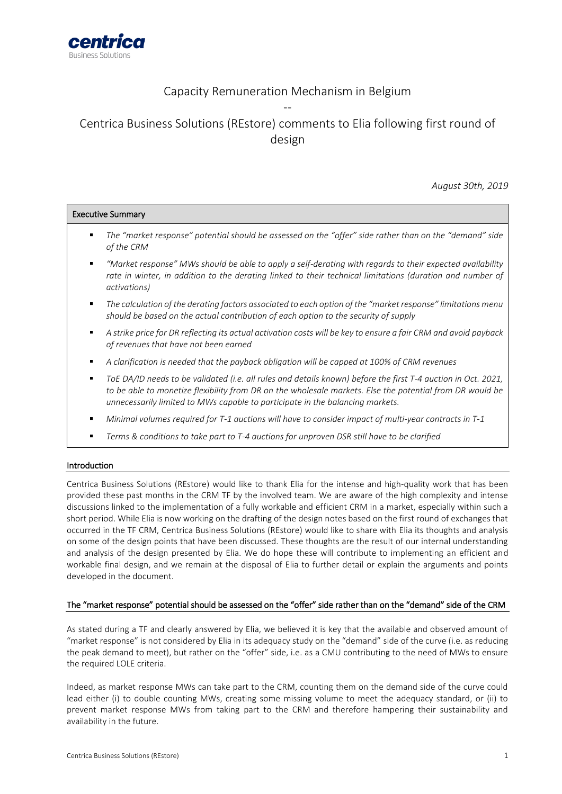

Executive Summary

# Capacity Remuneration Mechanism in Belgium --

Centrica Business Solutions (REstore) comments to Elia following first round of design

*August 30th, 2019*

| <b>LYCLANDE SAILINGLA</b> |                                                                                                                                                                                                                                                                                                            |
|---------------------------|------------------------------------------------------------------------------------------------------------------------------------------------------------------------------------------------------------------------------------------------------------------------------------------------------------|
| ٠                         | The "market response" potential should be assessed on the "offer" side rather than on the "demand" side<br>of the CRM                                                                                                                                                                                      |
| ٠                         | "Market response" MWs should be able to apply a self-derating with regards to their expected availability<br>rate in winter, in addition to the derating linked to their technical limitations (duration and number of<br>activations)                                                                     |
| ٠                         | The calculation of the derating factors associated to each option of the "market response" limitations menu<br>should be based on the actual contribution of each option to the security of supply                                                                                                         |
| ٠                         | A strike price for DR reflecting its actual activation costs will be key to ensure a fair CRM and avoid payback<br>of revenues that have not been earned                                                                                                                                                   |
| ٠                         | A clarification is needed that the payback obligation will be capped at 100% of CRM revenues                                                                                                                                                                                                               |
| ٠                         | ToE DA/ID needs to be validated (i.e. all rules and details known) before the first T-4 auction in Oct. 2021,<br>to be able to monetize flexibility from DR on the wholesale markets. Else the potential from DR would be<br>unnecessarily limited to MWs capable to participate in the balancing markets. |
|                           | Minimal volumes required for T-1 auctions will have to consider impact of multi-year contracts in T-1                                                                                                                                                                                                      |
|                           | Terms & conditions to take part to T-4 auctions for unproven DSR still have to be clarified                                                                                                                                                                                                                |
|                           |                                                                                                                                                                                                                                                                                                            |

### Introduction

Centrica Business Solutions (REstore) would like to thank Elia for the intense and high-quality work that has been provided these past months in the CRM TF by the involved team. We are aware of the high complexity and intense discussions linked to the implementation of a fully workable and efficient CRM in a market, especially within such a short period. While Elia is now working on the drafting of the design notes based on the first round of exchanges that occurred in the TF CRM, Centrica Business Solutions (REstore) would like to share with Elia its thoughts and analysis on some of the design points that have been discussed. These thoughts are the result of our internal understanding and analysis of the design presented by Elia. We do hope these will contribute to implementing an efficient and workable final design, and we remain at the disposal of Elia to further detail or explain the arguments and points developed in the document.

### The "market response" potential should be assessed on the "offer" side rather than on the "demand" side of the CRM

As stated during a TF and clearly answered by Elia, we believed it is key that the available and observed amount of "market response" is not considered by Elia in its adequacy study on the "demand" side of the curve (i.e. as reducing the peak demand to meet), but rather on the "offer" side, i.e. as a CMU contributing to the need of MWs to ensure the required LOLE criteria.

Indeed, as market response MWs can take part to the CRM, counting them on the demand side of the curve could lead either (i) to double counting MWs, creating some missing volume to meet the adequacy standard, or (ii) to prevent market response MWs from taking part to the CRM and therefore hampering their sustainability and availability in the future.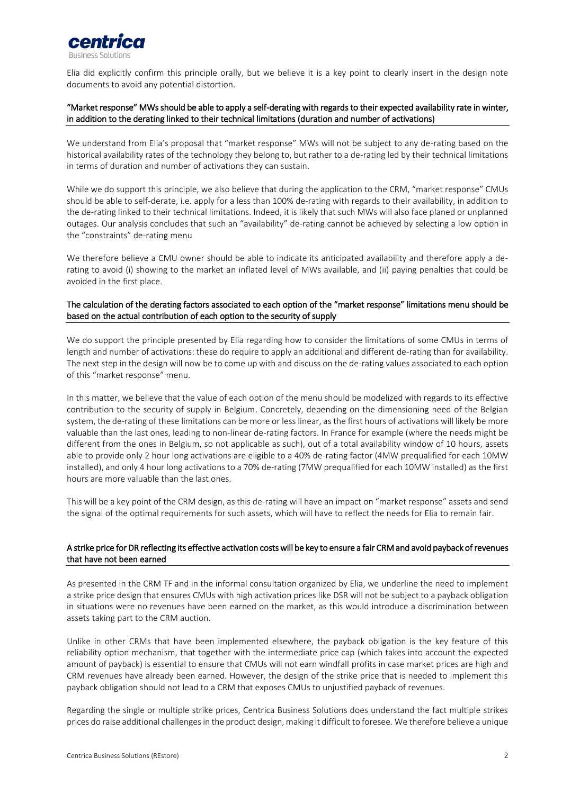

Elia did explicitly confirm this principle orally, but we believe it is a key point to clearly insert in the design note documents to avoid any potential distortion.

# "Market response" MWs should be able to apply a self-derating with regards to their expected availability rate in winter, in addition to the derating linked to their technical limitations (duration and number of activations)

We understand from Elia's proposal that "market response" MWs will not be subject to any de-rating based on the historical availability rates of the technology they belong to, but rather to a de-rating led by their technical limitations in terms of duration and number of activations they can sustain.

While we do support this principle, we also believe that during the application to the CRM, "market response" CMUs should be able to self-derate, i.e. apply for a less than 100% de-rating with regards to their availability, in addition to the de-rating linked to their technical limitations. Indeed, it is likely that such MWs will also face planed or unplanned outages. Our analysis concludes that such an "availability" de-rating cannot be achieved by selecting a low option in the "constraints" de-rating menu

We therefore believe a CMU owner should be able to indicate its anticipated availability and therefore apply a derating to avoid (i) showing to the market an inflated level of MWs available, and (ii) paying penalties that could be avoided in the first place.

# The calculation of the derating factors associated to each option of the "market response" limitations menu should be based on the actual contribution of each option to the security of supply

We do support the principle presented by Elia regarding how to consider the limitations of some CMUs in terms of length and number of activations: these do require to apply an additional and different de-rating than for availability. The next step in the design will now be to come up with and discuss on the de-rating values associated to each option of this "market response" menu.

In this matter, we believe that the value of each option of the menu should be modelized with regards to its effective contribution to the security of supply in Belgium. Concretely, depending on the dimensioning need of the Belgian system, the de-rating of these limitations can be more or less linear, as the first hours of activations will likely be more valuable than the last ones, leading to non-linear de-rating factors. In France for example (where the needs might be different from the ones in Belgium, so not applicable as such), out of a total availability window of 10 hours, assets able to provide only 2 hour long activations are eligible to a 40% de-rating factor (4MW prequalified for each 10MW installed), and only 4 hour long activations to a 70% de-rating (7MW prequalified for each 10MW installed) as the first hours are more valuable than the last ones.

This will be a key point of the CRM design, as this de-rating will have an impact on "market response" assets and send the signal of the optimal requirements for such assets, which will have to reflect the needs for Elia to remain fair.

# A strike price for DR reflecting its effective activation costs will be key to ensure a fair CRM and avoid payback of revenues that have not been earned

As presented in the CRM TF and in the informal consultation organized by Elia, we underline the need to implement a strike price design that ensures CMUs with high activation prices like DSR will not be subject to a payback obligation in situations were no revenues have been earned on the market, as this would introduce a discrimination between assets taking part to the CRM auction.

Unlike in other CRMs that have been implemented elsewhere, the payback obligation is the key feature of this reliability option mechanism, that together with the intermediate price cap (which takes into account the expected amount of payback) is essential to ensure that CMUs will not earn windfall profits in case market prices are high and CRM revenues have already been earned. However, the design of the strike price that is needed to implement this payback obligation should not lead to a CRM that exposes CMUs to unjustified payback of revenues.

Regarding the single or multiple strike prices, Centrica Business Solutions does understand the fact multiple strikes prices do raise additional challenges in the product design, making it difficult to foresee. We therefore believe a unique